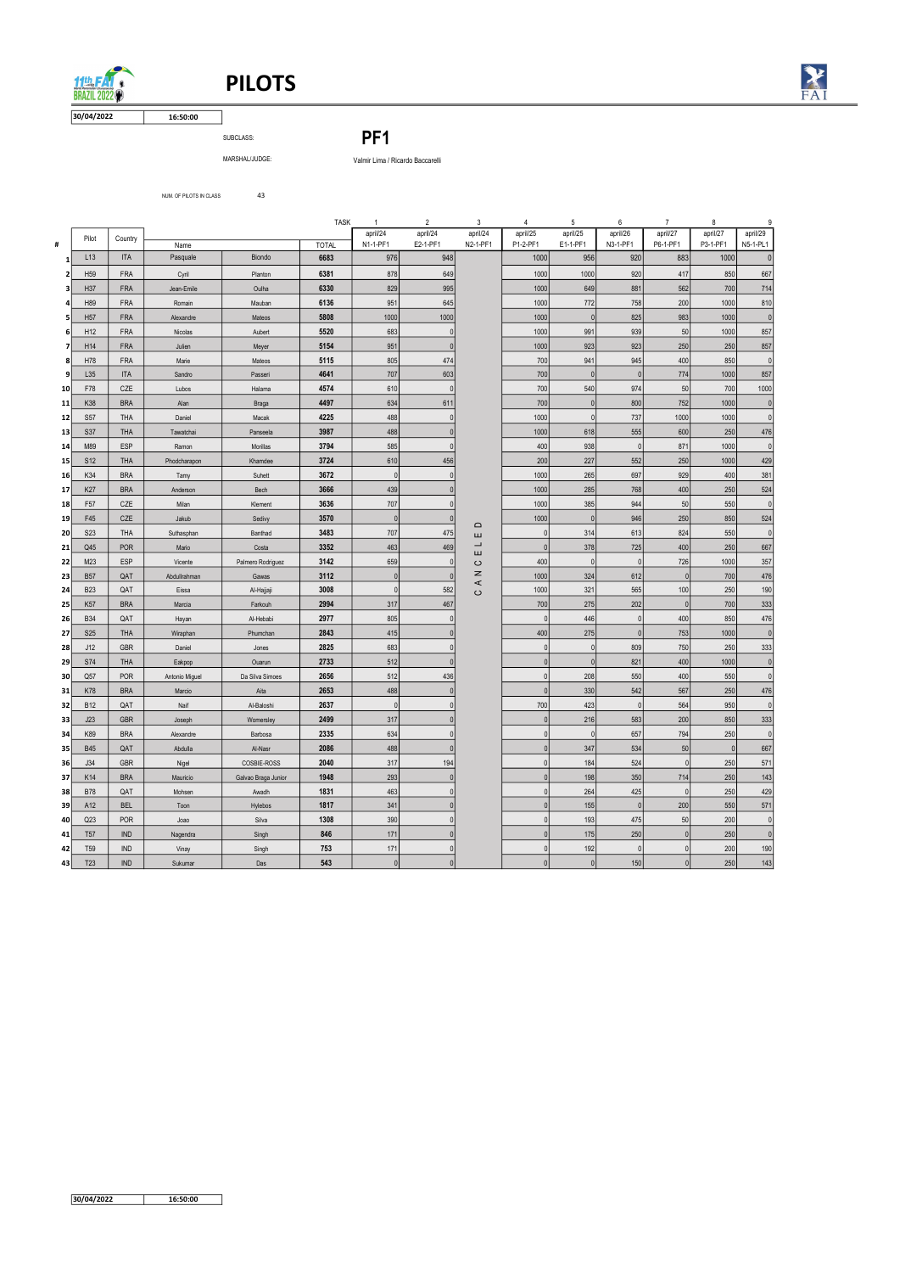# PILOTS



MARSHAL/JUDGE: Valmir Lima / Ricardo Baccarelli

NUM. OF PILOTS IN CLASS 43

16:50:00 30/04/2022

 $11th$ **BRAZIL 2022** 

SUBCLASS: PF1

|                 |                                    |                   |                         |                            | <b>TASK</b>  | $\mathbf{1}$         | $\overline{2}$           | 3                             | 4                              | 5                    | 6                     | $\overline{7}$       | 8                    | 9                      |
|-----------------|------------------------------------|-------------------|-------------------------|----------------------------|--------------|----------------------|--------------------------|-------------------------------|--------------------------------|----------------------|-----------------------|----------------------|----------------------|------------------------|
| #               | Pilot                              | Country           | Name                    |                            | <b>TOTAL</b> | april/24<br>N1-1-PF1 | april/24<br>E2-1-PF1     | april/24<br>N2-1-PF1          | april/25<br>P1-2-PF1           | april/25<br>E1-1-PF1 | april/26<br>N3-1-PF1  | april/27<br>P6-1-PF1 | april/27<br>P3-1-PF1 | april/29<br>N5-1-PL1   |
| $\mathbf{1}$    | L13                                | <b>ITA</b>        | Pasquale                | Biondo                     | 6683         | 976                  | 948                      |                               | 1000                           | 956                  | 920                   | 883                  | 1000                 | 0                      |
| 2               | H <sub>59</sub>                    | <b>FRA</b>        | Cyril                   | Planton                    | 6381         | 878                  | 649                      |                               | 1000                           | 1000                 | 920                   | 417                  | 850                  | 667                    |
| 3               | H37                                | <b>FRA</b>        | Jean-Emile              | Oulha                      | 6330         | 829                  | 995                      |                               | 1000                           | 649                  | 881                   | 562                  | 700                  | 714                    |
| Δ               | H89                                | <b>FRA</b>        | Romain                  | Mauban                     | 6136         | 951                  | 645                      |                               | 1000                           | 772                  | 758                   | 200                  | 1000                 | 810                    |
|                 | H <sub>57</sub>                    | <b>FRA</b>        | Alexandre               | Mateos                     | 5808         | 1000                 | 1000                     |                               | 1000                           | 0                    | 825                   | 983                  | 1000                 | 0                      |
| 6               | H12                                | <b>FRA</b>        | Nicolas                 | Aubert                     | 5520         | 683                  | $\Omega$                 |                               | 1000                           | 991                  | 939                   | 50                   | 1000                 | 857                    |
| 7               | H14                                | <b>FRA</b>        | Julien                  | Meyer                      | 5154         | 951                  | $\Omega$                 |                               | 1000                           | 923                  | 923                   | 250                  | 250                  | 857                    |
| 8               | H78                                | FRA               | Marie                   | Mateos                     | 5115         | 805                  | 474                      |                               | 700                            | 941                  | 945                   | 400                  | 850                  | $\overline{0}$         |
| 9               | L35                                | <b>ITA</b>        | Sandro                  | Passeri                    | 4641         | 707                  | 603                      |                               | 700                            | 0                    | 0                     | 774                  | 1000                 | 857                    |
| 10              | F78<br>K38                         | CZE<br><b>BRA</b> | Lubos                   | Halama                     | 4574<br>4497 | 610<br>634           | $\Omega$<br>611          |                               | 700<br>700                     | 540<br>$\pmb{0}$     | 974<br>800            | $50\,$<br>752        | 700<br>1000          | 1000<br>$\overline{0}$ |
| 11<br>12        | <b>S57</b>                         | <b>THA</b>        | Alan<br>Daniel          | <b>Braga</b><br>Macak      | 4225         | 488                  | 0                        |                               | 1000                           | 0                    | 737                   | 1000                 | 1000                 | $\mathbf{0}$           |
| 13              | <b>S37</b>                         | <b>THA</b>        | Tawatchai               | Panseela                   | 3987         | 488                  | $\Omega$                 |                               | 1000                           | 618                  | 555                   | 600                  | 250                  | 476                    |
| 14              | M89                                | ESP               | Ramon                   | Morillas                   | 3794         | 585                  | $\Omega$                 |                               | 400                            | 938                  | $\mathbf{0}$          | 871                  | 1000                 | 0                      |
| 15              | S <sub>12</sub>                    | <b>THA</b>        | Phodcharapon            | Khamdee                    | 3724         | 610                  | 456                      |                               | 200                            | 227                  | 552                   | 250                  | 1000                 | 429                    |
| <b>16</b>       | K34                                | <b>BRA</b>        | Tamy                    | Suhett                     | 3672         | $\mathbf 0$          | $\mathbf{0}$             |                               | 1000                           | 265                  | 697                   | 929                  | 400                  | 381                    |
| 17              | K27                                | <b>BRA</b>        | Anderson                | Bech                       | 3666         | 439                  | $\mathbf{0}$             |                               | 1000                           | 285                  | 768                   | 400                  | 250                  | 524                    |
| 18              | F <sub>57</sub>                    | CZE               | Milan                   | Klement                    | 3636         | 707                  | $\Omega$                 |                               | 1000                           | 385                  | 944                   | 50                   | 550                  | $\overline{0}$         |
| 19              | F45                                | CZE               | Jakub                   | Sedivy                     | 3570         | $\pmb{0}$            | $\Omega$                 | $\Box$                        | 1000                           | $\pmb{0}$            | 946                   | 250                  | 850                  | 524                    |
| 20              | S <sub>2</sub> 3                   | <b>THA</b>        | Suthasphan              | Banthad                    | 3483         | 707                  | 475                      | ш<br>$\overline{\phantom{0}}$ | $\mathbf{0}$                   | 314                  | 613                   | 824                  | 550                  | 0                      |
| 21              | Q45                                | <b>POR</b>        | Mario                   | Costa                      | 3352         | 463                  | 469<br>$\mathbf{0}$      | ш                             | $\mathbf{0}$                   | 378                  | 725                   | 400                  | 250                  | 667                    |
| 22<br>23        | M23<br><b>B57</b>                  | ESP<br>QAT        | Vicente<br>Abdullrahman | Palmero Rodriguez<br>Gawas | 3142<br>3112 | 659<br>$\pmb{0}$     | $\mathbf{0}$             | $\circ$<br>z                  | 400<br>1000                    | $\pmb{0}$<br>324     | $\overline{0}$<br>612 | 726<br>$\mathbf{0}$  | 1000<br>700          | 357<br>476             |
| 24              | <b>B23</b>                         | QAT               | Eissa                   | Al-Hajjaji                 | 3008         | $\pmb{0}$            | 582                      | $\prec$                       | 1000                           | 321                  | 565                   | 100                  | 250                  | 190                    |
| 25 <sub>1</sub> | <b>K57</b>                         | <b>BRA</b>        | Marcia                  | Farkouh                    | 2994         | 317                  | 467                      | $\circ$                       | 700                            | 275                  | 202                   | $\mathbf 0$          | 700                  | 333                    |
| 26              | <b>B34</b>                         | QAT               | Hayan                   | Al-Hebabi                  | 2977         | 805                  | <sup>0</sup>             |                               | $\mathbf{0}$                   | 446                  | $\overline{0}$        | 400                  | 850                  | 476                    |
| 27              | <b>S25</b>                         | THA               | Wiraphan                | Phumchan                   | 2843         | 415                  |                          |                               | 400                            | 275                  | $\overline{0}$        | 753                  | 1000                 | 0                      |
| 28              | J12                                | GBR               | Daniel                  | Jones                      | 2825         | 683                  |                          |                               | $\mathbf{0}$                   | $\pmb{0}$            | 809                   | 750                  | 250                  | 333                    |
| 29              | <b>S74</b>                         | THA               | Eakpop                  | Ouarun                     | 2733         | 512                  | $\Omega$                 |                               | $\mathbf{0}$                   | $\pmb{0}$            | 821                   | 400                  | 1000                 | 0                      |
| 30              | Q57                                | POR               | Antonio Miguel          | Da Silva Simoes            | 2656         | 512                  | 436                      |                               | $\mathbf{0}$                   | 208                  | 550                   | 400                  | 550                  | $\mathbf{0}$           |
| 31              | <b>K78</b>                         | <b>BRA</b>        | Marcio                  | Aita                       | 2653         | 488                  | 0                        |                               | $\overline{0}$                 | 330                  | 542                   | 567                  | 250                  | 476                    |
| 32<br>33        | <b>B12</b><br>J23                  | QAT<br><b>GBR</b> | Naif<br>Joseph          | Al-Baloshi<br>Womersley    | 2637<br>2499 | $\pmb{0}$<br>317     | $\mathbf{0}$<br>$\Omega$ |                               | 700<br>$\mathbf 0$             | 423<br>216           | $\pmb{0}$<br>583      | 564<br>200           | 950<br>850           | 0 <br>333              |
| 34              | K89                                | <b>BRA</b>        | Alexandre               | Barbosa                    | 2335         | 634                  | $\mathbf{0}$             |                               | $\mathbf{0}$                   | 0                    | 657                   | 794                  | 250                  | $\overline{0}$         |
| 35              | <b>B45</b>                         | QAT               | Abdulla                 | Al-Nasr                    | 2086         | 488                  | $\mathbf{0}$             |                               | $\overline{0}$                 | 347                  | 534                   | $50\,$               | 0                    | 667                    |
| 36              | J34                                | <b>GBR</b>        | Nigel                   | COSBIE-ROSS                | 2040         | 317                  | 194                      |                               | $\pmb{0}$                      | 184                  | 524                   | 0                    | 250                  | 571                    |
| 37              | K14                                | <b>BRA</b>        | Mauricio                | Galvao Braga Junior        | 1948         | 293                  | $\mathbf{0}$             |                               | $\overline{0}$                 | 198                  | 350                   | 714                  | 250                  | 143                    |
| 38              | <b>B78</b>                         | QAT               | Mohsen                  | Awadh                      | 1831         | 463                  | $\overline{0}$           |                               | $\mathbf{0}$                   | 264                  | 425                   | 0                    | 250                  | 429                    |
| 39              | A12                                | <b>BEL</b>        | Toon                    | Hylebos                    | 1817         | 341                  | $\overline{0}$           |                               | $\overline{0}$                 | 155                  | 0                     | 200                  | 550                  | 571                    |
| 40              | Q23                                | <b>POR</b>        | Joao                    | Silva                      | 1308         | 390                  | $\mathbf{0}$             |                               | $\mathbf 0$                    | 193                  | 475                   | 50                   | 200                  | 0                      |
| 41              | <b>T57</b>                         | <b>IND</b>        | Nagendra                | Singh                      | 846          | 171                  | $\mathbf{0}$             |                               | $\mathbf{0}$                   | 175                  | 250                   | 0                    | 250                  | $\overline{0}$         |
| 42              | T <sub>59</sub><br>T <sub>23</sub> | <b>IND</b><br>IND | Vinay                   | Singh                      | 753<br>543   | 171<br> 0            | $\overline{0}$<br> 0     |                               | $\mathbf{0}$<br>$\overline{0}$ | 192<br> 0            | $\overline{0}$<br>150 | 0 <br> 0             | 200<br>250           | 190<br>143             |
| 43              |                                    |                   | Sukumar                 | Das                        |              |                      |                          |                               |                                |                      |                       |                      |                      |                        |
|                 |                                    |                   |                         |                            |              |                      |                          |                               |                                |                      |                       |                      |                      |                        |
|                 | 30/04/2022                         |                   | 16:50:00                |                            |              |                      |                          |                               |                                |                      |                       |                      |                      |                        |

| 122<br>---- |  |
|-------------|--|
|             |  |